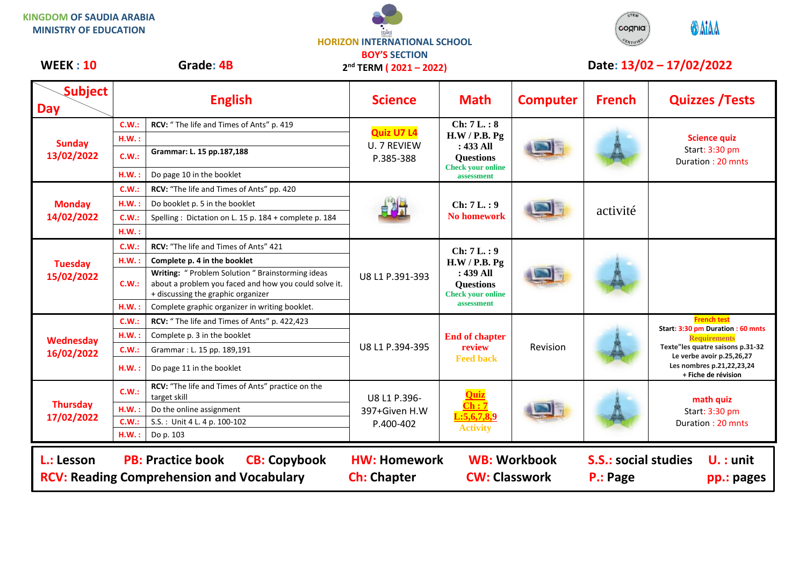## **KINGDOM OF SAUDIA ARABIA MINISTRY OF EDUCATION**





| Subject<br><b>Day</b>         |                   | <b>English</b>                                                                                                                                   | <b>Science</b>                                       | <b>Math</b>                                                                                              | <b>Computer</b>     | <b>French</b>                           | <b>Quizzes / Tests</b>                                        |
|-------------------------------|-------------------|--------------------------------------------------------------------------------------------------------------------------------------------------|------------------------------------------------------|----------------------------------------------------------------------------------------------------------|---------------------|-----------------------------------------|---------------------------------------------------------------|
| <b>Sunday</b><br>13/02/2022   | <b>C.W.:</b>      | RCV: "The life and Times of Ants" p. 419                                                                                                         | <b>Quiz U7 L4</b><br><b>U. 7 REVIEW</b><br>P.385-388 | Ch: 7L.: 8<br>H.W / P.B. Pg<br>$: 433$ All<br><b>Questions</b><br><b>Check your online</b><br>assessment |                     |                                         | <b>Science quiz</b><br>Start: 3:30 pm<br>Duration: 20 mnts    |
|                               | $H.W.$ :<br>C.W.: | Grammar: L. 15 pp.187,188                                                                                                                        |                                                      |                                                                                                          |                     |                                         |                                                               |
|                               | H.W.:             | Do page 10 in the booklet                                                                                                                        |                                                      |                                                                                                          |                     |                                         |                                                               |
| <b>Monday</b><br>14/02/2022   | C.W.:             | RCV: "The life and Times of Ants" pp. 420                                                                                                        |                                                      | Ch: 7L.: 9<br><b>No homework</b>                                                                         |                     | activité                                |                                                               |
|                               | $H.W.$ :          | Do booklet p. 5 in the booklet                                                                                                                   |                                                      |                                                                                                          |                     |                                         |                                                               |
|                               | <b>C.W.:</b>      | Spelling: Dictation on L. 15 p. 184 + complete p. 184                                                                                            |                                                      |                                                                                                          |                     |                                         |                                                               |
|                               | H.W.:             |                                                                                                                                                  |                                                      |                                                                                                          |                     |                                         |                                                               |
| <b>Tuesday</b><br>15/02/2022  | C.W.:             | RCV: "The life and Times of Ants" 421                                                                                                            | U8 L1 P.391-393                                      | Ch: 7L.: 9<br>H.W / P.B. Pg<br>: 439 All<br><b>Questions</b><br><b>Check your online</b><br>assessment   |                     |                                         |                                                               |
|                               | H.W.:             | Complete p. 4 in the booklet                                                                                                                     |                                                      |                                                                                                          |                     |                                         |                                                               |
|                               | C.W.:             | Writing: " Problem Solution " Brainstorming ideas<br>about a problem you faced and how you could solve it.<br>+ discussing the graphic organizer |                                                      |                                                                                                          |                     |                                         |                                                               |
|                               | H.W.:             | Complete graphic organizer in writing booklet.                                                                                                   |                                                      |                                                                                                          |                     |                                         |                                                               |
| Wednesday<br>16/02/2022       | <b>C.W.:</b>      | RCV: "The life and Times of Ants" p. 422,423                                                                                                     | U8 L1 P.394-395                                      | <b>End of chapter</b><br>review<br><b>Feed back</b>                                                      | Revision            |                                         | <b>French test</b><br>Start: 3:30 pm Duration : 60 mnts       |
|                               | H.W.:             | Complete p. 3 in the booklet                                                                                                                     |                                                      |                                                                                                          |                     |                                         | <b>Requirements</b>                                           |
|                               | <b>C.W.:</b>      | Grammar: L. 15 pp. 189,191                                                                                                                       |                                                      |                                                                                                          |                     |                                         | Texte"les quatre saisons p.31-32<br>Le verbe avoir p.25,26,27 |
|                               | H.W.:             | Do page 11 in the booklet                                                                                                                        |                                                      |                                                                                                          |                     |                                         | Les nombres p.21,22,23,24<br>+ Fiche de révision              |
| <b>Thursday</b><br>17/02/2022 | C.W.:             | RCV: "The life and Times of Ants" practice on the<br>target skill                                                                                | U8 L1 P.396-<br>397+Given H.W<br>P.400-402           | $:\overline{5,6,7,8,9}$<br><b>Activity</b>                                                               |                     |                                         | math quiz<br>Start: 3:30 pm<br>Duration: 20 mnts              |
|                               | H.W.:             | Do the online assignment                                                                                                                         |                                                      |                                                                                                          |                     |                                         |                                                               |
|                               | C.W.:             | S.S.: Unit 4 L. 4 p. 100-102                                                                                                                     |                                                      |                                                                                                          |                     |                                         |                                                               |
|                               | H.W.:             | Do p. 103                                                                                                                                        |                                                      |                                                                                                          |                     |                                         |                                                               |
| L.: Lesson                    |                   | <b>PB: Practice book</b><br><b>CB: Copybook</b><br><b>RCV: Reading Comprehension and Vocabulary</b>                                              | <b>HW: Homework</b><br><b>Ch: Chapter</b>            | <b>CW: Classwork</b>                                                                                     | <b>WB: Workbook</b> | <b>S.S.: social studies</b><br>P.: Page | $U.$ : unit<br>pp.: pages                                     |